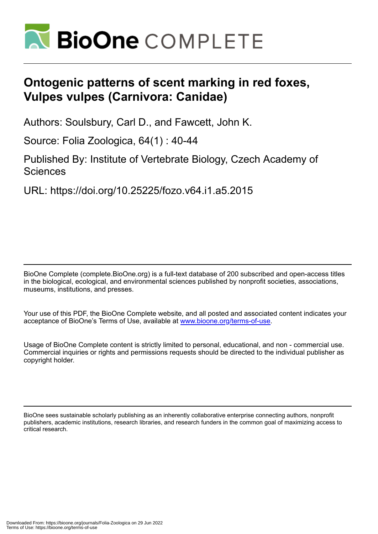

# **Ontogenic patterns of scent marking in red foxes, Vulpes vulpes (Carnivora: Canidae)**

Authors: Soulsbury, Carl D., and Fawcett, John K.

Source: Folia Zoologica, 64(1) : 40-44

Published By: Institute of Vertebrate Biology, Czech Academy of **Sciences** 

URL: https://doi.org/10.25225/fozo.v64.i1.a5.2015

BioOne Complete (complete.BioOne.org) is a full-text database of 200 subscribed and open-access titles in the biological, ecological, and environmental sciences published by nonprofit societies, associations, museums, institutions, and presses.

Your use of this PDF, the BioOne Complete website, and all posted and associated content indicates your acceptance of BioOne's Terms of Use, available at www.bioone.org/terms-of-use.

Usage of BioOne Complete content is strictly limited to personal, educational, and non - commercial use. Commercial inquiries or rights and permissions requests should be directed to the individual publisher as copyright holder.

BioOne sees sustainable scholarly publishing as an inherently collaborative enterprise connecting authors, nonprofit publishers, academic institutions, research libraries, and research funders in the common goal of maximizing access to critical research.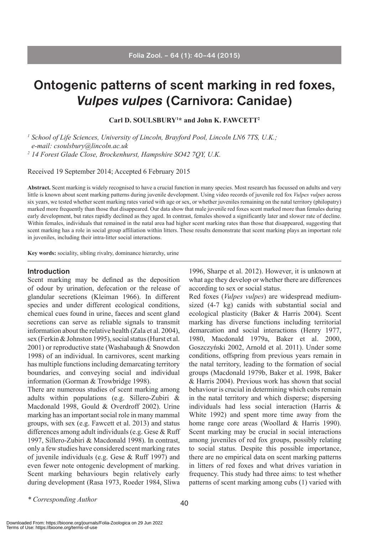# **Ontogenic patterns of scent marking in red foxes,**  *Vulpes vulpes* **(Carnivora: Canidae)**

**Carl D. SOULSBURY1 \* and John K. FAWCETT2**

*<sup>1</sup> School of Life Sciences, University of Lincoln, Brayford Pool, Lincoln LN6 7TS, U.K.; e-mail: csoulsbury@lincoln.ac.uk <sup>2</sup> 14 Forest Glade Close, Brockenhurst, Hampshire SO42 7QY, U.K.*

Received 19 September 2014; Accepted 6 February 2015

**Abstract.** Scent marking is widely recognised to have a crucial function in many species. Most research has focussed on adults and very little is known about scent marking patterns during juvenile development. Using video records of juvenile red fox *Vulpes vulpes* across six years, we tested whether scent marking rates varied with age or sex, or whether juveniles remaining on the natal territory (philopatry) marked more frequently than those that disappeared. Our data show that male juvenile red foxes scent marked more than females during early development, but rates rapidly declined as they aged. In contrast, females showed a significantly later and slower rate of decline. Within females, individuals that remained in the natal area had higher scent marking rates than those that disappeared, suggesting that scent marking has a role in social group affiliation within litters. These results demonstrate that scent marking plays an important role in juveniles, including their intra-litter social interactions.

**Key words:** sociality, sibling rivalry, dominance hierarchy, urine

## **Introduction**

Scent marking may be defined as the deposition of odour by urination, defecation or the release of glandular secretions (Kleiman 1966). In different species and under different ecological conditions, chemical cues found in urine, faeces and scent gland secretions can serve as reliable signals to transmit information about the relative health (Zala et al. 2004), sex (Ferkin & Johnston 1995), social status (Hurst et al. 2001) or reproductive state (Washabaugh & Snowdon 1998) of an individual. In carnivores, scent marking has multiple functions including demarcating territory boundaries, and conveying social and individual information (Gorman & Trowbridge 1998).

There are numerous studies of scent marking among adults within populations (e.g. Sillero-Zubiri & Macdonald 1998, Gould & Overdroff 2002). Urine marking has an important social role in many mammal groups, with sex (e.g. Fawcett et al. 2013) and status differences among adult individuals (e.g. Gese & Ruff 1997, Sillero-Zubiri & Macdonald 1998). In contrast, only a few studies have considered scent marking rates of juvenile individuals (e.g. Gese & Ruff 1997) and even fewer note ontogenic development of marking. Scent marking behaviours begin relatively early during development (Rasa 1973, Roeder 1984, Sliwa

1996, Sharpe et al. 2012). However, it is unknown at what age they develop or whether there are differences according to sex or social status.

Red foxes (*Vulpes vulpes*) are widespread mediumsized (4-7 kg) canids with substantial social and ecological plasticity (Baker & Harris 2004). Scent marking has diverse functions including territorial demarcation and social interactions (Henry 1977, 1980, Macdonald 1979a, Baker et al. 2000, Goszczyński 2002, Arnold et al. 2011). Under some conditions, offspring from previous years remain in the natal territory, leading to the formation of social groups (Macdonald 1979b, Baker et al. 1998, Baker & Harris 2004). Previous work has shown that social behaviour is crucial in determining which cubs remain in the natal territory and which disperse; dispersing individuals had less social interaction (Harris & White 1992) and spent more time away from the home range core areas (Woollard & Harris 1990). Scent marking may be crucial in social interactions among juveniles of red fox groups, possibly relating to social status. Despite this possible importance, there are no empirical data on scent marking patterns in litters of red foxes and what drives variation in frequency. This study had three aims: to test whether patterns of scent marking among cubs (1) varied with

*<sup>\*</sup> Corresponding Author*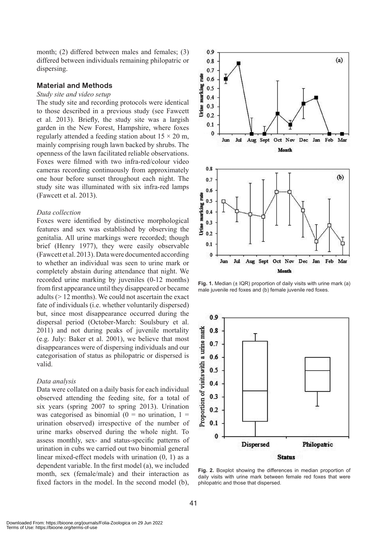month; (2) differed between males and females; (3) differed between individuals remaining philopatric or dispersing.

### **Material and Methods**

#### *Study site and video setup*

The study site and recording protocols were identical to those described in a previous study (see Fawcett et al. 2013). Briefly, the study site was a largish garden in the New Forest, Hampshire, where foxes regularly attended a feeding station about  $15 \times 20$  m, mainly comprising rough lawn backed by shrubs. The openness of the lawn facilitated reliable observations. Foxes were filmed with two infra-red/colour video cameras recording continuously from approximately one hour before sunset throughout each night. The study site was illuminated with six infra-red lamps (Fawcett et al. 2013).

### *Data collection*

Foxes were identified by distinctive morphological features and sex was established by observing the genitalia. All urine markings were recorded; though brief (Henry 1977), they were easily observable (Fawcett et al. 2013). Data were documented according to whether an individual was seen to urine mark or completely abstain during attendance that night. We recorded urine marking by juveniles (0-12 months) from first appearance until they disappeared or became adults (> 12 months). We could not ascertain the exact fate of individuals (i.e. whether voluntarily dispersed) but, since most disappearance occurred during the dispersal period (October-March: Soulsbury et al. 2011) and not during peaks of juvenile mortality (e.g. July: Baker et al. 2001), we believe that most disappearances were of dispersing individuals and our categorisation of status as philopatric or dispersed is valid.

#### *Data analysis*

Data were collated on a daily basis for each individual observed attending the feeding site, for a total of six years (spring 2007 to spring 2013). Urination was categorised as binomial ( $0 =$  no urination,  $1 =$ urination observed) irrespective of the number of urine marks observed during the whole night. To assess monthly, sex- and status-specific patterns of urination in cubs we carried out two binomial general linear mixed-effect models with urination (0, 1) as a dependent variable. In the first model (a), we included month, sex (female/male) and their interaction as fixed factors in the model. In the second model (b),



**Fig. 1.** Median ( $\pm$  IQR) proportion of daily visits with urine mark (a) male juvenile red foxes and (b) female juvenile red foxes.



**Fig. 2.** Boxplot showing the differences in median proportion of daily visits with urine mark between female red foxes that were philopatric and those that dispersed.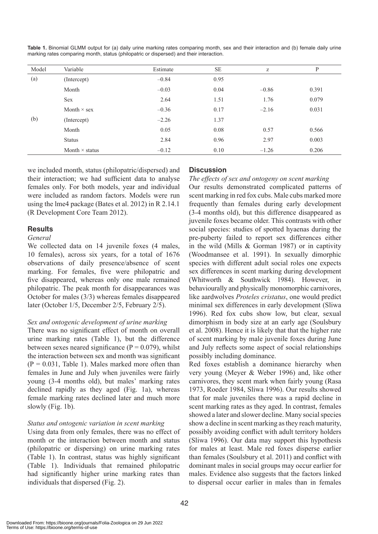| Model | Variable              | Estimate | <b>SE</b> | Z       | P     |
|-------|-----------------------|----------|-----------|---------|-------|
| (a)   | (Intercept)           | $-0.84$  | 0.95      |         |       |
|       | Month                 | $-0.03$  | 0.04      | $-0.86$ | 0.391 |
|       | Sex                   | 2.64     | 1.51      | 1.76    | 0.079 |
|       | Month $\times$ sex    | $-0.36$  | 0.17      | $-2.16$ | 0.031 |
| (b)   | (Intercept)           | $-2.26$  | 1.37      |         |       |
|       | Month                 | 0.05     | 0.08      | 0.57    | 0.566 |
|       | <b>Status</b>         | 2.84     | 0.96      | 2.97    | 0.003 |
|       | Month $\times$ status | $-0.12$  | 0.10      | $-1.26$ | 0.206 |

**Table 1.** Binomial GLMM output for (a) daily urine marking rates comparing month, sex and their interaction and (b) female daily urine marking rates comparing month, status (philopatric or dispersed) and their interaction.

we included month, status (philopatric/dispersed) and their interaction; we had sufficient data to analyse females only. For both models, year and individual were included as random factors. Models were run using the lme4 package (Bates et al. 2012) in R 2.14.1 (R Development Core Team 2012).

## **Results**

## *General*

We collected data on 14 juvenile foxes (4 males, 10 females), across six years, for a total of 1676 observations of daily presence/absence of scent marking. For females, five were philopatric and five disappeared, whereas only one male remained philopatric. The peak month for disappearances was October for males (3/3) whereas females disappeared later (October 1/5, December 2/5, February 2/5).

## *Sex and ontogenic development of urine marking*

There was no significant effect of month on overall urine marking rates (Table 1), but the difference between sexes neared significance ( $P = 0.079$ ), whilst the interaction between sex and month was significant  $(P = 0.031,$  Table 1). Males marked more often than females in June and July when juveniles were fairly young (3-4 months old), but males' marking rates declined rapidly as they aged (Fig. 1a), whereas female marking rates declined later and much more slowly (Fig. 1b).

## *Status and ontogenic variation in scent marking*

Using data from only females, there was no effect of month or the interaction between month and status (philopatric or dispersing) on urine marking rates (Table 1). In contrast, status was highly significant (Table 1). Individuals that remained philopatric had significantly higher urine marking rates than individuals that dispersed (Fig. 2).

## **Discussion**

*The effects of sex and ontogeny on scent marking* Our results demonstrated complicated patterns of scent marking in red fox cubs. Male cubs marked more frequently than females during early development (3-4 months old), but this difference disappeared as juvenile foxes became older. This contrasts with other social species: studies of spotted hyaenas during the pre-puberty failed to report sex differences either in the wild (Mills & Gorman 1987) or in captivity (Woodmansee et al. 1991). In sexually dimorphic species with different adult social roles one expects sex differences in scent marking during development (Whitworth & Southwick 1984). However, in behaviourally and physically monomorphic carnivores, like aardwolves *Proteles cristatus*, one would predict minimal sex differences in early development (Sliwa 1996). Red fox cubs show low, but clear, sexual dimorphism in body size at an early age (Soulsbury et al. 2008). Hence it is likely that that the higher rate of scent marking by male juvenile foxes during June and July reflects some aspect of social relationships possibly including dominance.

Red foxes establish a dominance hierarchy when very young (Meyer & Weber 1996) and, like other carnivores, they scent mark when fairly young (Rasa 1973, Roeder 1984, Sliwa 1996). Our results showed that for male juveniles there was a rapid decline in scent marking rates as they aged. In contrast, females showed a later and slower decline. Many social species show a decline in scent marking as they reach maturity, possibly avoiding conflict with adult territory holders (Sliwa 1996). Our data may support this hypothesis for males at least. Male red foxes disperse earlier than females (Soulsbury et al. 2011) and conflict with dominant males in social groups may occur earlier for males. Evidence also suggests that the factors linked to dispersal occur earlier in males than in females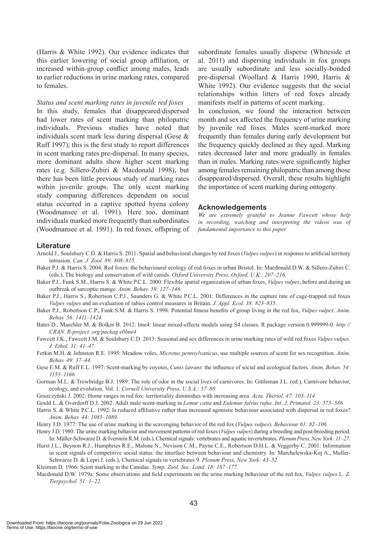(Harris & White 1992). Our evidence indicates that this earlier lowering of social group affiliation, or increased within-group conflict among males, leads to earlier reductions in urine marking rates, compared to females.

#### *Status and scent marking rates in juvenile red foxes*

In this study, females that disappeared/dispersed had lower rates of scent marking than philopatric individuals. Previous studies have noted that individuals scent mark less during dispersal (Gese & Ruff 1997); this is the first study to report differences in scent marking rates pre-dispersal. In many species, more dominant adults show higher scent marking rates (e.g. Sillero-Zubiri & Macdonald 1998), but there has been little previous study of marking rates within juvenile groups. The only scent marking study comparing differences dependent on social status occurred in a captive spotted hyena colony (Woodmansee et al. 1991). Here too, dominant individuals marked more frequently than subordinates (Woodmansee et al. 1991). In red foxes, offspring of subordinate females usually disperse (Whiteside et al. 2011) and dispersing individuals in fox groups are usually subordinate and less socially-bonded pre-dispersal (Woollard & Harris 1990, Harris & White 1992). Our evidence suggests that the social relationships within litters of red foxes already manifests itself in patterns of scent marking.

In conclusion, we found the interaction between month and sex affected the frequency of urine marking by juvenile red foxes. Males scent-marked more frequently than females during early development but the frequency quickly declined as they aged. Marking rates decreased later and more gradually in females than in males. Marking rates were significantly higher among females remaining philopatric than among those disappeared/dispersed. Overall, these results highlight the importance of scent marking during ontogeny.

#### **Acknowledgements**

*We are extremely grateful to Jeanne Fawcett whose help in recording, watching and interpreting the videos was of fundamental importance to this paper.* 

#### **Literature**

- Arnold J., Soulsbury C.D. & Harris S. 2011: Spatial and behavioral changes by red foxes (*Vulpes vulpes*) in response to artificial territory intrusion. *Can. J. Zool. 89: 808–815.*
- Baker P.J. & Harris S. 2004: Red foxes: the behavioural ecology of red foxes in urban Bristol. In: Macdonald D.W. & Sillero-Zubiri C. (eds.), The biology and conservation of wild canids. *Oxford University Press, Oxford, U.K.: 207–216.*
- Baker P.J., Funk S.M., Harris S. & White P.C.L. 2000: Flexible spatial organization of urban foxes, *Vulpes vulpes*, before and during an outbreak of sarcoptic mange. *Anim. Behav. 59: 127–146.*
- Baker P.J., Harris S., Robertson C.P.J., Saunders G. & White P.C.L. 2001: Differences in the capture rate of cage-trapped red foxes *Vulpes vulpes* and an evaluation of rabies control measures in Britain. *J. Appl. Ecol. 38: 823–835.*
- Baker P.J., Robertson C.P., Funk S.M. & Harris S. 1998: Potential fitness benefits of group living in the red fox, *Vulpes vulpes*. *Anim. Behav. 56: 1411–1424.*
- Bates D., Maechler M. & Bolker B. 2012: lme4: linear mixed-effects models using S4 classes. R package version 0.999999-0. *http:// CRAN. R-project. org/packag e0lme4*
- Fawcett J.K., Fawcett J.M. & Soulsbury C.D. 2013: Seasonal and sex differences in urine marking rates of wild red foxes *Vulpes vulpes*. *J. Ethol. 31: 41–47.*
- Ferkin M.H. & Johnston R.E. 1995: Meadow voles, *Microtus pennsylvanicus*, use multiple sources of scent for sex recognition. *Anim. Behav. 49: 37–44.*
- Gese E.M. & Ruff E.L. 1997: Scent-marking by coyotes, *Canis latrans*: the influence of social and ecological factors. *Anim. Behav. 54: 1155–1166.*
- Gorman M.L. & Trowbridge B.J. 1989: The role of odor in the social lives of carnivores. In: Gittleman J.L. (ed.), Carnivore behavior, ecology, and evolution. Vol. 1. *Cornell University Press, U.S.A.: 57–88.*
- Goszczyński J. 2002: Home ranges in red fox: territoriality diminishes with increasing area. *Acta. Theriol. 47: 103–114.*
- Gould L. & Overdorff D.J. 2002: Adult male scent-marking in *Lemur catta* and *Eulemur fulvus rufus*. *Int. J. Primatol. 23: 575–586.*
- Harris S. & White P.C.L. 1992: Is reduced affiliative rather than increased agonistic behaviour associated with dispersal in red foxes? *Anim. Behav. 44: 1085–1089.*
- Henry J.D. 1977: The use of urine marking in the scavenging behavior of the red fox (*Vulpes vulpes*). *Behaviour 61: 82–106.*
- Henry J.D. 1980: The urine marking behavior and movement patterns of red foxes (*Vulpes vulpes*) during a breeding and post-breeding period. In: Müller-Schwarze D. & Iverstein R.M. (eds.), Chemical signals: vertebrates and aquatic invertebrates. *Plenum Press, New York: 11–27.*
- Hurst J.L., Beynon R.J., Humphries R.E., Malone N., Nevison C.M., Payne C.E., Robertson D.H.L. & Veggerby C. 2001: Information in scent signals of competitive social status: the interface between behaviour and chemistry. In: Marchelewska-Koj A., Muller-Schwarze D. & Lepri J. (eds.), Chemical signals in vertebrates 9. *Plenum Press, New York: 43–52.*
- Kleiman D. 1966: Scent marking in the Canidae. *Symp. Zool. Soc. Lond. 18: 167–177.*
- Macdonald D.W. 1979a: Some observations and field experiments on the urine marking behaviour of the red fox, *Vulpes vulpes* L. *Z. Tierpsychol. 51: 1–22.*